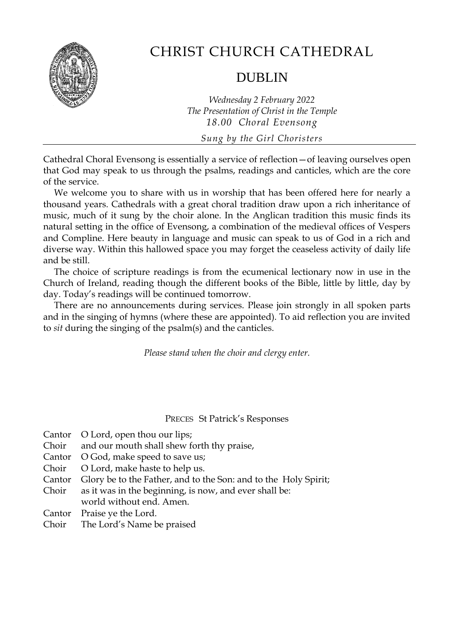

# CHRIST CHURCH CATHEDRAL

# DUBLIN

*Wednesday 2 February 2022 The Presentation of Christ in the Temple 18.00 Choral Evensong*

*Sung by the Girl Choristers*

Cathedral Choral Evensong is essentially a service of reflection—of leaving ourselves open that God may speak to us through the psalms, readings and canticles, which are the core of the service.

We welcome you to share with us in worship that has been offered here for nearly a thousand years. Cathedrals with a great choral tradition draw upon a rich inheritance of music, much of it sung by the choir alone. In the Anglican tradition this music finds its natural setting in the office of Evensong, a combination of the medieval offices of Vespers and Compline. Here beauty in language and music can speak to us of God in a rich and diverse way. Within this hallowed space you may forget the ceaseless activity of daily life and be still.

The choice of scripture readings is from the ecumenical lectionary now in use in the Church of Ireland, reading though the different books of the Bible, little by little, day by day. Today's readings will be continued tomorrow.

There are no announcements during services. Please join strongly in all spoken parts and in the singing of hymns (where these are appointed). To aid reflection you are invited to *sit* during the singing of the psalm(s) and the canticles.

*Please stand when the choir and clergy enter.*

PRECES St Patrick's Responses

- Cantor O Lord, open thou our lips; Choir and our mouth shall shew forth thy praise,
- Cantor O God, make speed to save us;
- Choir O Lord, make haste to help us.
- Cantor Glory be to the Father, and to the Son: and to the Holy Spirit;
- Choir as it was in the beginning, is now, and ever shall be: world without end. Amen.
- Cantor Praise ye the Lord.
- Choir The Lord's Name be praised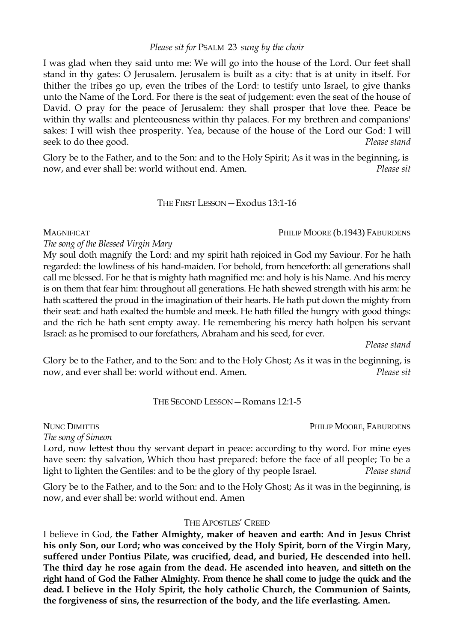#### *Please sit for* PSALM 23 *sung by the choir*

I was glad when they said unto me: We will go into the house of the Lord. Our feet shall stand in thy gates: O Jerusalem. Jerusalem is built as a city: that is at unity in itself. For thither the tribes go up, even the tribes of the Lord: to testify unto Israel, to give thanks unto the Name of the Lord. For there is the seat of judgement: even the seat of the house of David. O pray for the peace of Jerusalem: they shall prosper that love thee. Peace be within thy walls: and plenteousness within thy palaces. For my brethren and companions' sakes: I will wish thee prosperity. Yea, because of the house of the Lord our God: I will seek to do thee good. *Please stand* 

Glory be to the Father, and to the Son: and to the Holy Spirit; As it was in the beginning, is now, and ever shall be: world without end. Amen. *Please sit*

#### THE FIRST LESSON—Exodus 13:1-16

#### *The song of the Blessed Virgin Mary*

My soul doth magnify the Lord: and my spirit hath rejoiced in God my Saviour. For he hath regarded: the lowliness of his hand-maiden. For behold, from henceforth: all generations shall call me blessed. For he that is mighty hath magnified me: and holy is his Name. And his mercy is on them that fear him: throughout all generations. He hath shewed strength with his arm: he hath scattered the proud in the imagination of their hearts. He hath put down the mighty from their seat: and hath exalted the humble and meek. He hath filled the hungry with good things: and the rich he hath sent empty away. He remembering his mercy hath holpen his servant Israel: as he promised to our forefathers, Abraham and his seed, for ever.

*Please stand*

Glory be to the Father, and to the Son: and to the Holy Ghost; As it was in the beginning, is now, and ever shall be: world without end. Amen. *Please sit*

#### THE SECOND LESSON—Romans 12:1-5

*The song of Simeon* 

Lord, now lettest thou thy servant depart in peace: according to thy word. For mine eyes have seen: thy salvation, Which thou hast prepared: before the face of all people; To be a light to lighten the Gentiles: and to be the glory of thy people Israel. *Please stand*

Glory be to the Father, and to the Son: and to the Holy Ghost; As it was in the beginning, is now, and ever shall be: world without end. Amen

#### THE APOSTLES' CREED

I believe in God, **the Father Almighty, maker of heaven and earth: And in Jesus Christ his only Son, our Lord; who was conceived by the Holy Spirit, born of the Virgin Mary, suffered under Pontius Pilate, was crucified, dead, and buried, He descended into hell. The third day he rose again from the dead. He ascended into heaven, and sitteth on the right hand of God the Father Almighty. From thence he shall come to judge the quick and the dead. I believe in the Holy Spirit, the holy catholic Church, the Communion of Saints, the forgiveness of sins, the resurrection of the body, and the life everlasting. Amen.**

NUNC DIMITTIS PHILIP MOORE, FABURDENS

MAGNIFICAT **PHILIP MOORE (b.1943) FABURDENS**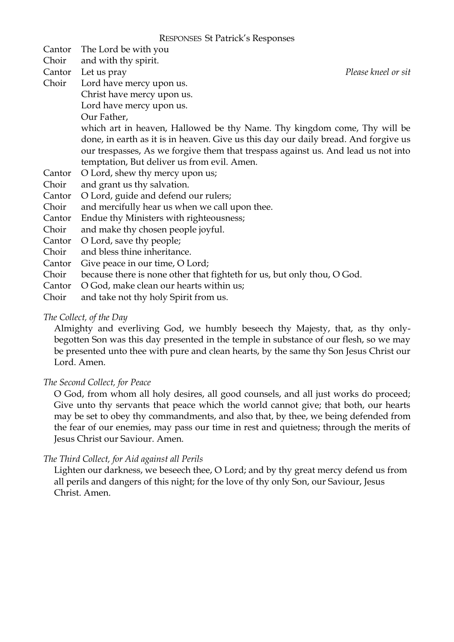Cantor The Lord be with you

Choir and with thy spirit.

- Choir Lord have mercy upon us. Christ have mercy upon us. Lord have mercy upon us.
	- Our Father,

which art in heaven, Hallowed be thy Name. Thy kingdom come, Thy will be done, in earth as it is in heaven. Give us this day our daily bread. And forgive us our trespasses, As we forgive them that trespass against us. And lead us not into temptation, But deliver us from evil. Amen.

- Cantor O Lord, shew thy mercy upon us;
- Choir and grant us thy salvation.
- Cantor O Lord, guide and defend our rulers;
- Choir and mercifully hear us when we call upon thee.
- Cantor Endue thy Ministers with righteousness;
- Choir and make thy chosen people joyful.
- Cantor O Lord, save thy people;
- Choir and bless thine inheritance.
- Cantor Give peace in our time, O Lord;
- Choir because there is none other that fighteth for us, but only thou, O God.
- Cantor O God, make clean our hearts within us;
- Choir and take not thy holy Spirit from us.

# *The Collect, of the Day*

Almighty and everliving God, we humbly beseech thy Majesty, that, as thy onlybegotten Son was this day presented in the temple in substance of our flesh, so we may be presented unto thee with pure and clean hearts, by the same thy Son Jesus Christ our Lord. Amen.

## *The Second Collect, for Peace*

O God, from whom all holy desires, all good counsels, and all just works do proceed; Give unto thy servants that peace which the world cannot give; that both, our hearts may be set to obey thy commandments, and also that, by thee, we being defended from the fear of our enemies, may pass our time in rest and quietness; through the merits of Jesus Christ our Saviour. Amen.

# *The Third Collect, for Aid against all Perils*

Lighten our darkness, we beseech thee, O Lord; and by thy great mercy defend us from all perils and dangers of this night; for the love of thy only Son, our Saviour, Jesus Christ. Amen.

Cantor Let us pray *Please kneel or sit*